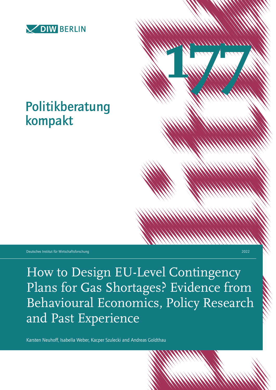

# Politikberatung kompakt

Deutsches Institut für Wirtschaftsforschung 2022

How to Design EU-Level Contingency Plans for Gas Shortages? Evidence from Behavioural Economics, Policy Research and Past Experience

**1777 1777** 

Karsten Neuhoff, Isabella Weber, Kacper Szulecki and Andreas Goldthau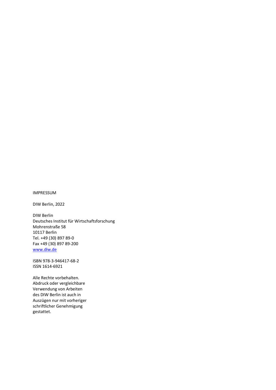#### IMPRESSUM

DIW Berlin, 2022

DIW Berlin Deutsches Institut für Wirtschaftsforschung Mohrenstraße 58 10117 Berlin Tel. +49 (30) 897 89-0 Fax +49 (30) 897 89-200 [www.diw.de](http://www.diw.de/)

ISBN 978-3-946417-68-2 ISSN 1614-6921

Alle Rechte vorbehalten. Abdruck oder vergleichbare Verwendung von Arbeiten des DIW Berlin ist auch in Auszügen nur mit vorheriger schriftlicher Genehmigung gestattet.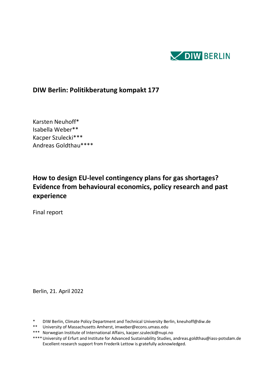

## **DIW Berlin: Politikberatung kompakt 177**

Karsten Neuhoff\* Isabella Weber\*\* Kacper Szulecki\*\*\* Andreas Goldthau\*\*\*\*

## **How to design EU-level contingency plans for gas shortages? Evidence from behavioural economics, policy research and past experience**

Final report

Berlin, 21. April 2022

- \* DIW Berlin, Climate Policy Department and Technical University Berlin, kneuhoff@diw.de
- \*\* University of Massachusetts Amherst, imweber@econs.umass.edu
- \*\*\* Norwegian Institute of International Affairs, kacper.szulecki@nupi.no
- \*\*\*\*University of Erfurt and Institute for Advanced Sustainability Studies, andreas.goldthau@iass-potsdam.de Excellent research support from Frederik Lettow is gratefully acknowledged.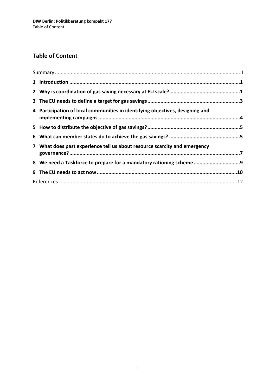## **Table of Content**

| 4 Participation of local communities in identifying objectives, designing and |  |  |
|-------------------------------------------------------------------------------|--|--|
|                                                                               |  |  |
|                                                                               |  |  |
| 7 What does past experience tell us about resource scarcity and emergency     |  |  |
| 8 We need a Taskforce to prepare for a mandatory rationing scheme 9           |  |  |
|                                                                               |  |  |
|                                                                               |  |  |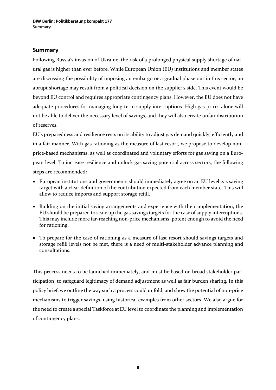#### **Summary**

Following Russia's invasion of Ukraine, the risk of a prolonged physical supply shortage of natural gas is higher than ever before. While European Union (EU) institutions and member states are discussing the possibility of imposing an embargo or a gradual phase out in this sector, an abrupt shortage may result from a political decision on the supplier's side. This event would be beyond EU control and requires appropriate contingency plans. However, the EU does not have adequate procedures for managing long-term supply interruptions. High gas prices alone will not be able to deliver the necessary level of savings, and they will also create unfair distribution of reserves.

EU's preparedness and resilience rests on its ability to adjust gas demand quickly, efficiently and in a fair manner. With gas rationing as the measure of last resort, we propose to develop nonprice-based mechanisms, as well as coordinated and voluntary efforts for gas saving on a European level. To increase resilience and unlock gas saving potential across sectors, the following steps are recommended:

- European institutions and governments should immediately agree on an EU level gas saving target with a clear definition of the contribution expected from each member state. This will allow to reduce imports and support storage refill.
- Building on the initial saving arrangements and experience with their implementation, the EU should be prepared to scale up the gas savings targets for the case of supply interruptions. This may include more far-reaching non-price mechanisms, potent enough to avoid the need for rationing.
- To prepare for the case of rationing as a measure of last resort should savings targets and storage refill levels not be met, there is a need of multi-stakeholder advance planning and consultations.

This process needs to be launched immediately, and must be based on broad stakeholder participation, to safeguard legitimacy of demand adjustment as well as fair burden sharing. In this policy brief, we outline the way such a process could unfold, and show the potential of non-price mechanisms to trigger savings, using historical examples from other sectors. We also argue for the need to create a special Taskforce at EU level to coordinate the planning and implementation of contingency plans.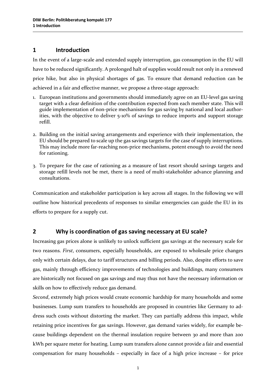#### **1 Introduction**

In the event of a large-scale and extended supply interruption, gas consumption in the EU will have to be reduced significantly. A prolonged halt of supplies would result not only in a renewed price hike, but also in physical shortages of gas. To ensure that demand reduction can be achieved in a fair and effective manner, we propose a three-stage approach:

- 1. European institutions and governments should immediately agree on an EU-level gas saving target with a clear definition of the contribution expected from each member state. This will guide implementation of non-price mechanisms for gas saving by national and local authorities, with the objective to deliver 5-10% of savings to reduce imports and support storage refill.
- 2. Building on the initial saving arrangements and experience with their implementation, the EU should be prepared to scale up the gas savings targets for the case of supply interruptions. This may include more far-reaching non-price mechanisms, potent enough to avoid the need for rationing.
- 3. To prepare for the case of rationing as a measure of last resort should savings targets and storage refill levels not be met, there is a need of multi-stakeholder advance planning and consultations.

Communication and stakeholder participation is key across all stages. In the following we will outline how historical precedents of responses to similar emergencies can guide the EU in its efforts to prepare for a supply cut.

#### **2 Why is coordination of gas saving necessary at EU scale?**

Increasing gas prices alone is unlikely to unlock sufficient gas savings at the necessary scale for two reasons. *First*, consumers, especially households, are exposed to wholesale price changes only with certain delays, due to tariff structures and billing periods. Also, despite efforts to save gas, mainly through efficiency improvements of technologies and buildings, many consumers are historically not focused on gas savings and may thus not have the necessary information or skills on how to effectively reduce gas demand.

*Second*, extremely high prices would create economic hardship for many households and some businesses. Lump sum transfers to households are proposed in countries like Germany to address such costs without distorting the market. They can partially address this impact, while retaining price incentives for gas savings. However, gas demand varies widely, for example because buildings dependent on the thermal insulation require between 30 and more than 200 kWh per square meter for heating. Lump sum transfers alone cannot provide a fair and essential compensation for many households – especially in face of a high price increase – for price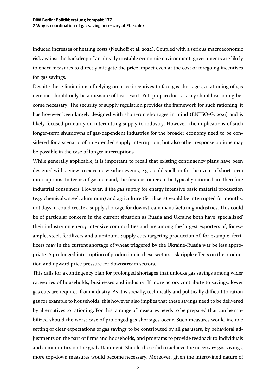induced increases of heating costs (Neuhoff et al. 2022). Coupled with a serious macroeconomic risk against the backdrop of an already unstable economic environment, governments are likely to enact measures to directly mitigate the price impact even at the cost of foregoing incentives for gas savings.

Despite these limitations of relying on price incentives to face gas shortages, a rationing of gas demand should only be a measure of last resort. Yet, preparedness is key should rationing become necessary. The security of supply regulation provides the framework for such rationing, it has however been largely designed with short-run shortages in mind (ENTSO-G. 2021) and is likely focused primarily on intermitting supply to industry. However, the implications of such longer-term shutdowns of gas-dependent industries for the broader economy need to be considered for a scenario of an extended supply interruption, but also other response options may be possible in the case of longer interruptions.

While generally applicable, it is important to recall that existing contingency plans have been designed with a view to extreme weather events, e.g. a cold spell, or for the event of short-term interruptions. In terms of gas demand, the first customers to be typically rationed are therefore industrial consumers. However, if the gas supply for energy intensive basic material production (e.g. chemicals, steel, aluminum) and agriculture (fertilizers) would be interrupted for months, not days, it could create a supply shortage for downstream manufacturing industries. This could be of particular concern in the current situation as Russia and Ukraine both have 'specialized' their industry on energy intensive commodities and are among the largest exporters of, for example, steel, fertilizers and aluminum. Supply cuts targeting production of, for example, fertilizers may in the current shortage of wheat triggered by the Ukraine-Russia war be less appropriate. A prolonged interruption of production in these sectors risk ripple effects on the production and upward price pressure for downstream sectors.

This calls for a contingency plan for prolonged shortages that unlocks gas savings among wider categories of households, businesses and industry. If more actors contribute to savings, lower gas cuts are required from industry. As it is socially, technically and politically difficult to ration gas for example to households, this however also implies that these savings need to be delivered by alternatives to rationing. For this, a range of measures needs to be prepared that can be mobilized should the worst case of prolonged gas shortages occur. Such measures would include setting of clear expectations of gas savings to be contributed by all gas users, by behavioral adjustments on the part of firms and households, and programs to provide feedback to individuals and communities on the goal attainment. Should these fail to achieve the necessary gas savings, more top-down measures would become necessary. Moreover, given the intertwined nature of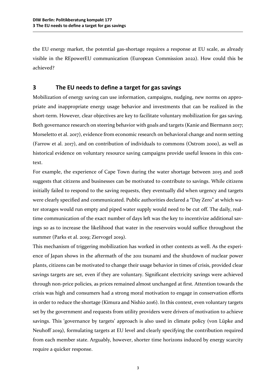the EU energy market, the potential gas-shortage requires a response at EU scale, as already visible in the REpowerEU communication (European Commission 2022). How could this be achieved?

#### **3 The EU needs to define a target for gas savings**

Mobilization of energy saving can use information, campaigns, nudging, new norms on appropriate and inappropriate energy usage behavior and investments that can be realized in the short-term. However, clear objectives are key to facilitate voluntary mobilization for gas saving. Both governance research on steering behavior with goals and targets (Kanie and Biermann 2017; Morseletto et al. 2017), evidence from economic research on behavioral change and norm setting (Farrow et al. 2017), and on contribution of individuals to commons (Ostrom 2000), as well as historical evidence on voluntary resource saving campaigns provide useful lessons in this context.

For example, the experience of Cape Town during the water shortage between 2015 and 2018 suggests that citizens and businesses can be motivated to contribute to savings. While citizens initially failed to respond to the saving requests, they eventually did when urgency and targets were clearly specified and communicated. Public authorities declared a "Day Zero" at which water storages would run empty and piped water supply would need to be cut off. The daily, realtime communication of the exact number of days left was the key to incentivize additional savings so as to increase the likelihood that water in the reservoirs would suffice throughout the summer (Parks et al. 2019; Ziervogel 2019).

This mechanism of triggering mobilization has worked in other contexts as well. As the experience of Japan shows in the aftermath of the 2011 tsunami and the shutdown of nuclear power plants, citizens can be motivated to change their usage behavior in times of crisis, provided clear savings targets are set, even if they are voluntary. Significant electricity savings were achieved through non-price policies, as prices remained almost unchanged at first. Attention towards the crisis was high and consumers had a strong moral motivation to engage in conservation efforts in order to reduce the shortage (Kimura and Nishio 2016). In this context, even voluntary targets set by the government and requests from utility providers were drivers of motivation to achieve savings. This 'governance by targets' approach is also used in climate policy (von Lüpke and Neuhoff 2019), formulating targets at EU level and clearly specifying the contribution required from each member state. Arguably, however, shorter time horizons induced by energy scarcity require a quicker response.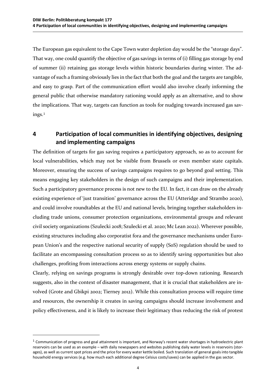The European gas equivalent to the Cape Town water depletion day would be the "storage days". That way, one could quantify the objective of gas savings in terms of (i) filling gas storage by end of summer (ii) retaining gas storage levels within historic boundaries during winter. The advantage of such a framing obviously lies in the fact that both the goal and the targets are tangible, and easy to grasp. Part of the communication effort would also involve clearly informing the general public that otherwise mandatory rationing would apply as an alternative, and to show the implications. That way, targets can function as tools for nudging towards increased gas savings.[1](#page-8-0)

#### **4 Participation of local communities in identifying objectives, designing and implementing campaigns**

The definition of targets for gas saving requires a participatory approach, so as to account for local vulnerabilities, which may not be visible from Brussels or even member state capitals. Moreover, ensuring the success of savings campaigns requires to go beyond goal setting. This means engaging key stakeholders in the design of such campaigns and their implementation. Such a participatory governance process is not new to the EU. In fact, it can draw on the already existing experience of 'just transition' governance across the EU (Atteridge and Strambo 2020), and could involve roundtables at the EU and national levels, bringing together stakeholders including trade unions, consumer protection organizations, environmental groups and relevant civil society organizations (Szulecki 2018; Szulecki et al. 2020; Mc Lean 2022). Wherever possible, existing structures including also corporatist fora and the governance mechanisms under European Union's and the respective national security of supply (SoS) regulation should be used to facilitate an encompassing consultation process so as to identify saving opportunities but also challenges, profiting from interactions across energy systems or supply chains.

Clearly, relying on savings programs is strongly desirable over top-down rationing. Research suggests, also in the context of disaster management, that it is crucial that stakeholders are involved (Grote and Gbikpi 2002; Tierney 2012). While this consultation process will require time and resources, the ownership it creates in saving campaigns should increase involvement and policy effectiveness, and it is likely to increase their legitimacy thus reducing the risk of protest

 $\overline{a}$ 

<span id="page-8-0"></span> $1$  Communication of progress and goal attainment is important, and Norway's recent water shortages in hydroelectric plant reservoirs can be used as an example – with daily newspapers and websites publishing daily water levels in reservoirs (storages), as well as current spot prices and the price for every water kettle boiled. Such translation of general goals into tangible household energy services (e.g. how much each additional degree Celsius costs/saves) can be applied in the gas sector.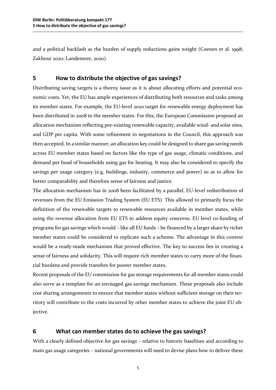and a political backlash as the burden of supply reductions gains weight (Coenen et al. 1998; Zakhour 2020; Landemore, 2020).

#### **5 How to distribute the objective of gas savings?**

Distributing saving targets is a thorny issue as it is about allocating efforts and potential economic costs. Yet, the EU has ample experiences of distributing both resources and tasks among its member states. For example, the EU-level 2020 target for renewable energy deployment has been distributed in 2008 to the member states. For this, the European Commission proposed an allocation mechanism reflecting pre-existing renewable capacity, available wind- and solar sites, and GDP per capita. With some refinement in negotiations in the Council, this approach was then accepted. In a similar manner, an allocation key could be designed to share gas saving needs across EU member states based on factors like the type of gas usage, climatic conditions, and demand per head of households using gas for heating. It may also be considered to specify the savings per usage category (e.g. buildings, industry, commerce and power) so as to allow for better comparability and therefore sense of fairness and justice.

The allocation mechanism has in 2008 been facilitated by a parallel, EU-level redistribution of revenues from the EU Emission Trading System (EU ETS). This allowed to primarily focus the definition of the renewable targets to renewable resources available in member states, while using the revenue allocation from EU ETS to address equity concerns. EU level co-funding of programs for gas savings which would – like all EU funds – be financed by a larger share by richer member states could be considered to replicate such a scheme. The advantage in this context would be a ready-made mechanism that proved effective. The key to success lies in creating a sense of fairness and solidarity. This will require rich member states to carry more of the financial burdens and provide transfers for poorer member states.

Recent proposals of the EU commission for gas storage requirements for all member states could also serve as a template for an envisaged gas savings mechanism. These proposals also include cost sharing arrangements to ensure that member states without sufficient storage on their territory will contribute to the costs incurred by other member states to achieve the joint EU objective.

#### **6 What can member states do to achieve the gas savings?**

With a clearly defined objective for gas savings – relative to historic baselines and according to main gas usage categories – national governments will need to devise plans how to deliver these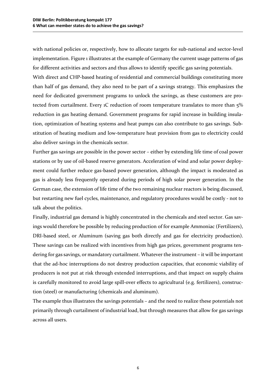with national policies or, respectively, how to allocate targets for sub-national and sector-level implementation. Figure 1 illustrates at the example of Germany the current usage patterns of gas for different activities and sectors and thus allows to identify specific gas saving potentials.

With direct and CHP-based heating of residential and commercial buildings constituting more than half of gas demand, they also need to be part of a savings strategy. This emphasizes the need for dedicated government programs to unlock the savings, as these customers are protected from curtailment. Every 1C reduction of room temperature translates to more than 5% reduction in gas heating demand. Government programs for rapid increase in building insulation, optimization of heating systems and heat pumps can also contribute to gas savings. Substitution of heating medium and low-temperature heat provision from gas to electricity could also deliver savings in the chemicals sector.

Further gas savings are possible in the power sector – either by extending life time of coal power stations or by use of oil-based reserve generators. Acceleration of wind and solar power deployment could further reduce gas-based power generation, although the impact is moderated as gas is already less frequently operated during periods of high solar power generation. In the German case, the extension of life time of the two remaining nuclear reactors is being discussed, but restarting new fuel cycles, maintenance, and regulatory procedures would be costly - not to talk about the politics.

Finally, industrial gas demand is highly concentrated in the chemicals and steel sector. Gas savings would therefore be possible by reducing production of for example Ammoniac (Fertilizers), DRI-based steel, or Aluminum (saving gas both directly and gas for electricity production). These savings can be realized with incentives from high gas prices, government programs tendering for gas savings, or mandatory curtailment. Whatever the instrument – it will be important that the ad-hoc interruptions do not destroy production capacities, that economic viability of producers is not put at risk through extended interruptions, and that impact on supply chains is carefully monitored to avoid large spill-over effects to agricultural (e.g. fertilizers), construction (steel) or manufacturing (chemicals and aluminum).

The example thus illustrates the savings potentials – and the need to realize these potentials not primarily through curtailment of industrial load, but through measures that allow for gas savings across all users.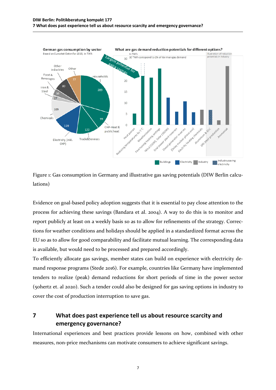

Figure 1: Gas consumption in Germany and illustrative gas saving potentials (DIW Berlin calculations)

Evidence on goal-based policy adoption suggests that it is essential to pay close attention to the process for achieving these savings (Bandara et al. 2004). A way to do this is to monitor and report publicly at least on a weekly basis so as to allow for refinements of the strategy. Corrections for weather conditions and holidays should be applied in a standardized format across the EU so as to allow for good comparability and facilitate mutual learning. The corresponding data is available, but would need to be processed and prepared accordingly.

To efficiently allocate gas savings, member states can build on experience with electricity demand response programs (Stede 2016). For example, countries like Germany have implemented tenders to realize (peak) demand reductions for short periods of time in the power sector (50hertz et. al 2020). Such a tender could also be designed for gas saving options in industry to cover the cost of production interruption to save gas.

### **7 What does past experience tell us about resource scarcity and emergency governance?**

International experiences and best practices provide lessons on how, combined with other measures, non-price mechanisms can motivate consumers to achieve significant savings.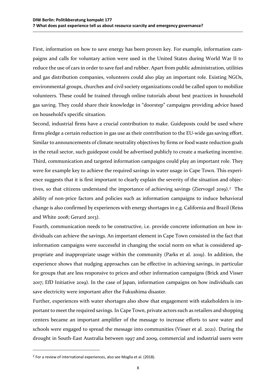First, information on how to save energy has been proven key. For example, information campaigns and calls for voluntary action were used in the United States during World War II to reduce the use of cars in order to save fuel and rubber. Apart from public administration, utilities and gas distribution companies, volunteers could also play an important role. Existing NGOs, environmental groups, churches and civil society organizations could be called upon to mobilize volunteers. These could be trained through online tutorials about best practices in household gas saving. They could share their knowledge in "doorstep" campaigns providing advice based on household's specific situation.

Second, industrial firms have a crucial contribution to make. Guideposts could be used where firms pledge a certain reduction in gas use as their contribution to the EU-wide gas saving effort. Similar to announcements of climate neutrality objectives by firms or food waste reduction goals in the retail sector, such guidepost could be advertised publicly to create a marketing incentive. Third, communication and targeted information campaigns could play an important role. They were for example key to achieve the required savings in water usage in Cape Town. This experience suggests that it is first important to clearly explain the severity of the situation and objec-tives, so that citizens understand the importance of achieving savings (Ziervogel [2](#page-12-0)019).<sup>2</sup> The ability of non-price factors and policies such as information campaigns to induce behavioral change is also confirmed by experiences with energy shortages in e.g. California and Brazil (Reiss and White 2008; Gerard 2013).

Fourth, communication needs to be constructive, i.e. provide concrete information on how individuals can achieve the savings. An important element in Cape Town consisted in the fact that information campaigns were successful in changing the social norm on what is considered appropriate and inappropriate usage within the community (Parks et al. 2019). In addition, the experience shows that nudging approaches can be effective in achieving savings, in particular for groups that are less responsive to prices and other information campaigns (Brick and Visser 2017; EfD Initiative 2019). In the case of Japan, information campaigns on how individuals can save electricity were important after the Fukushima disaster.

Further, experiences with water shortages also show that engagement with stakeholders is important to meet the required savings. In Cape Town, private actors such as retailers and shopping centers became an important amplifier of the message to increase efforts to save water and schools were engaged to spread the message into communities (Visser et al. 2021). During the drought in South-East Australia between 1997 and 2009, commercial and industrial users were

 $\overline{a}$ 

<span id="page-12-0"></span> $2$  For a review of international experiences, also see Moglia et al. (2018).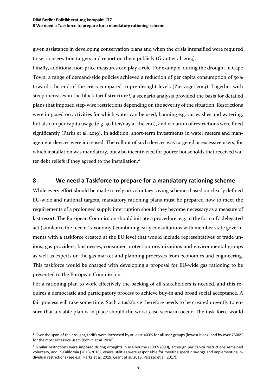given assistance in developing conservation plans and when the crisis intensified were required to set conservation targets and report on them publicly (Grant et al. 2013).

Finally, additional non-price measures can play a role. For example, during the drought in Cape Town, a range of demand-side policies achieved a reduction of per capita consumption of 50% towards the end of the crisis compared to pre-drought levels (Ziervogel 2019). Together with steep increases in the block tariff structure<sup>[3](#page-13-0)</sup>, a scenario analysis provided the basis for detailed plans that imposed step-wise restrictions depending on the severity of the situation. Restrictions were imposed on activities for which water can be used, banning e.g. car washes and watering, but also on per capita usage (e.g. 50 liter/day at the end), and violation of restrictions were fined significantly (Parks et al. 2019). In addition, short-term investments in water meters and management devices were increased. The rollout of such devices was targeted at excessive users, for which installation was mandatory, but also incentivized for poorer households that received water debt reliefs if they agreed to the installation.[4](#page-13-1)

#### **8 We need a Taskforce to prepare for a mandatory rationing scheme**

While every effort should be made to rely on voluntary saving schemes based on clearly defined EU-wide and national targets, mandatory rationing plans must be prepared now to meet the requirements of a prolonged supply interruption should they become necessary as a measure of last resort. The European Commission should initiate a procedure, e.g. in the form of a delegated act (similar to the recent 'taxonomy') combining early consultations with member state governments with a taskforce created at the EU level that would include representatives of trade unions, gas providers, businesses, consumer protection organizations and environmental groups as well as experts on the gas market and planning processes from economics and engineering. This taskforce would be charged with developing a proposal for EU-wide gas rationing to be presented to the European Commission.

For a rationing plan to work effectively the backing of all stakeholders is needed, and this requires a democratic and participatory process to achieve buy-in and broad social acceptance. A fair process will take some time. Such a taskforce therefore needs to be created urgently to ensure that a viable plan is in place should the worst-case scenario occur. The task force would

 $\overline{a}$ 

<span id="page-13-0"></span><sup>&</sup>lt;sup>3</sup> Over the span of the drought, tariffs were increased by at least 400% for all user groups (lowest block) and by over 2500% for the most excessive users (Köhlin et al. 2018).

<span id="page-13-1"></span><sup>4</sup> Similar restrictions were imposed during droughts in Melbourne (1997-2009), although per capita restrictions remained voluntary, and in California (2013-2016), where utilities were responsible for meeting specific savings and implementing individual restrictions (see e.g., Parks et al. 2019, Grant et al. 2013, Palazzo et al. 2017).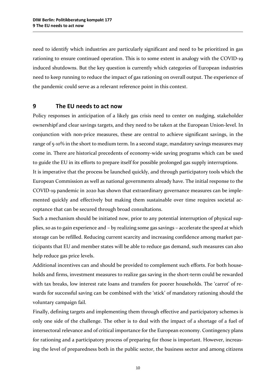need to identify which industries are particularly significant and need to be prioritized in gas rationing to ensure continued operation. This is to some extent in analogy with the COVID-19 induced shutdowns. But the key question is currently which categories of European industries need to keep running to reduce the impact of gas rationing on overall output. The experience of the pandemic could serve as a relevant reference point in this context.

#### **9 The EU needs to act now**

Policy responses in anticipation of a likely gas crisis need to center on nudging, stakeholder ownershipf and clear savings targets, and they need to be taken at the European Union-level. In conjunction with non-price measures, these are central to achieve significant savings, in the range of 5-10% in the short to medium term. In a second stage, mandatory savings measures may come in. There are historical precedents of economy-wide saving programs which can be used to guide the EU in its efforts to prepare itself for possible prolonged gas supply interruptions.

It is imperative that the process be launched quickly, and through participatory tools which the European Commission as well as national governments already have. The initial response to the COVID-19 pandemic in 2020 has shown that extraordinary governance measures can be implemented quickly and effectively but making them sustainable over time requires societal acceptance that can be secured through broad consultations.

Such a mechanism should be initiated now, prior to any potential interruption of physical supplies, so as to gain experience and – by realizing some gas savings – accelerate the speed at which storage can be refilled. Reducing current scarcity and increasing confidence among market participants that EU and member states will be able to reduce gas demand, such measures can also help reduce gas price levels.

Additional incentives can and should be provided to complement such efforts. For both households and firms, investment measures to realize gas saving in the short-term could be rewarded with tax breaks, low interest rate loans and transfers for poorer households. The 'carrot' of rewards for successful saving can be combined with the 'stick' of mandatory rationing should the voluntary campaign fail.

Finally, defining targets and implementing them through effective and participatory schemes is only one side of the challenge. The other is to deal with the impact of a shortage of a fuel of intersectoral relevance and of critical importance for the European economy. Contingency plans for rationing and a participatory process of preparing for those is important. However, increasing the level of preparedness both in the public sector, the business sector and among citizens

10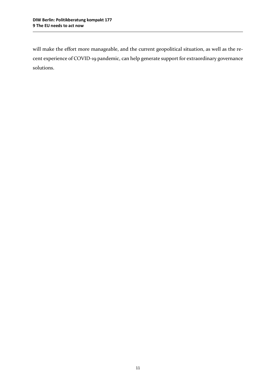will make the effort more manageable, and the current geopolitical situation, as well as the recent experience of COVID-19 pandemic, can help generate support for extraordinary governance solutions.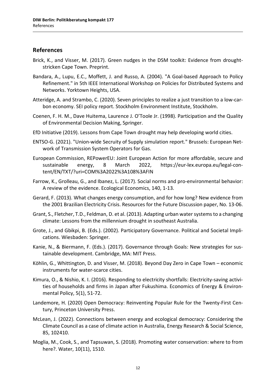#### **References**

- Brick, K., and Visser, M. (2017). Green nudges in the DSM toolkit: Evidence from droughtstricken Cape Town. Preprint.
- Bandara, A., Lupu, E.C., Moffett, J. and Russo, A. (2004). "A Goal-based Approach to Policy Refinement." in 5th IEEE International Workshop on Policies for Distributed Systems and Networks. Yorktown Heights, USA.
- Atteridge, A. and Strambo, C. (2020). Seven principles to realize a just transition to a low-carbon economy. SEI policy report. Stockholm Environment Institute, Stockholm.
- Coenen, F. H. M., Dave Huitema, Laurence J. O'Toole Jr. (1998). Participation and the Quality of Environmental Decision Making, Springer.
- EfD Initiative (2019). Lessons from Cape Town drought may help developing world cities.
- ENTSO-G. (2021). "Union-wide Secruity of Supply simulation report." Brussels: European Network of Transmission System Operators for Gas.
- European Commission, REPowerEU: Joint European Action for more affordable, secure and sustainable energy, 8 March 2022, https://eur-lex.europa.eu/legal-content/EN/TXT/?uri=COM%3A2022%3A108%3AFIN
- Farrow, K., Grolleau, G., and Ibanez, L. (2017). Social norms and pro-environmental behavior: A review of the evidence. Ecological Economics, 140, 1-13.
- Gerard, F. (2013). What changes energy consumption, and for how long? New evidence from the 2001 Brazilian Electricity Crisis. Resources for the Future Discussion paper, No. 13-06.
- Grant, S., Fletcher, T.D., Feldman, D. et al. (2013). Adapting urban water systems to a changing climate: Lessons from the millennium drought in southeast Australia.
- Grote, J., and Gbikpi, B. (Eds.). (2002). Participatory Governance. Political and Societal Implications. Wiesbaden: Springer.
- Kanie, N., & Biermann, F. (Eds.). (2017). Governance through Goals: New strategies for sustainable development. Cambridge, MA: MIT Press.
- Köhlin, G., Whittington, D. and Visser, M. (2018). Beyond Day Zero in Cape Town economic instruments for water-scarce cities.
- Kimura, O., & Nishio, K. I. (2016). Responding to electricity shortfalls: Electricity-saving activities of households and firms in Japan after Fukushima. Economics of Energy & Environmental Policy, 5(1), 51-72.
- Landemore, H. (2020) Open Democracy: Reinventing Popular Rule for the Twenty-First Century, Princeton University Press.
- McLean, J. (2022). Connections between energy and ecological democracy: Considering the Climate Council as a case of climate action in Australia, Energy Research & Social Science, 85, 102410.
- Moglia, M., Cook, S., and Tapsuwan, S. (2018). Promoting water conservation: where to from here?. Water, 10(11), 1510.